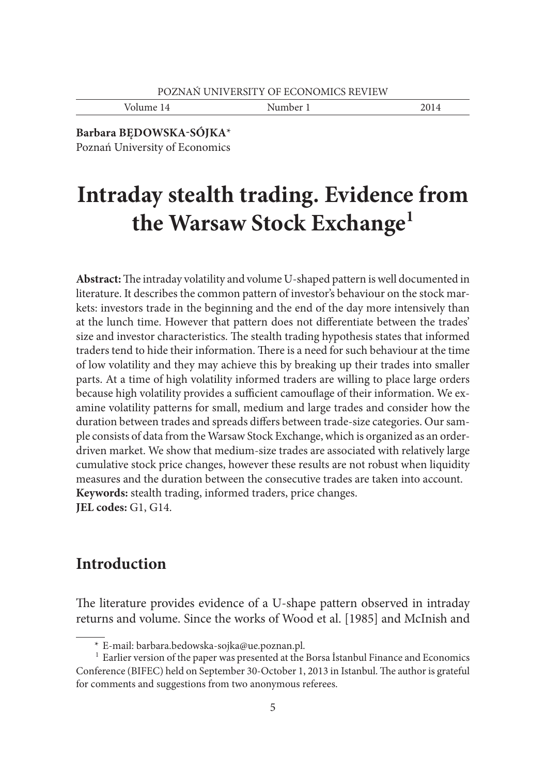Volume 14 Number 1 2014

**Barbara BĘDOWSKA-SÓJKA**\* Poznań University of Economics

# **Intraday stealth trading. Evidence from the Warsaw Stock Exchange1**

Abstract: The intraday volatility and volume U-shaped pattern is well documented in literature. It describes the common pattern of investor's behaviour on the stock markets: investors trade in the beginning and the end of the day more intensively than at the lunch time. However that pattern does not differentiate between the trades' size and investor characteristics. The stealth trading hypothesis states that informed traders tend to hide their information. There is a need for such behaviour at the time of low volatility and they may achieve this by breaking up their trades into smaller parts. At a time of high volatility informed traders are willing to place large orders because high volatility provides a sufficient camouflage of their information. We examine volatility patterns for small, medium and large trades and consider how the duration between trades and spreads differs between trade-size categories. Our sample consists of data from the Warsaw Stock Exchange, which is organized as an orderdriven market. We show that medium-size trades are associated with relatively large cumulative stock price changes, however these results are not robust when liquidity measures and the duration between the consecutive trades are taken into account. **Keywords:** stealth trading, informed traders, price changes. **JEL codes:** G1, G14.

## **Introduction**

The literature provides evidence of a U-shape pattern observed in intraday returns and volume. Since the works of Wood et al. [1985] and McInish and

 <sup>\*</sup> E-mail: barbara.bedowska-sojka@ue.poznan.pl.

<sup>&</sup>lt;sup>1</sup> Earlier version of the paper was presented at the Borsa Istanbul Finance and Economics Conference (BIFEC) held on September 30-October 1, 2013 in Istanbul. The author is grateful for comments and suggestions from two anonymous referees.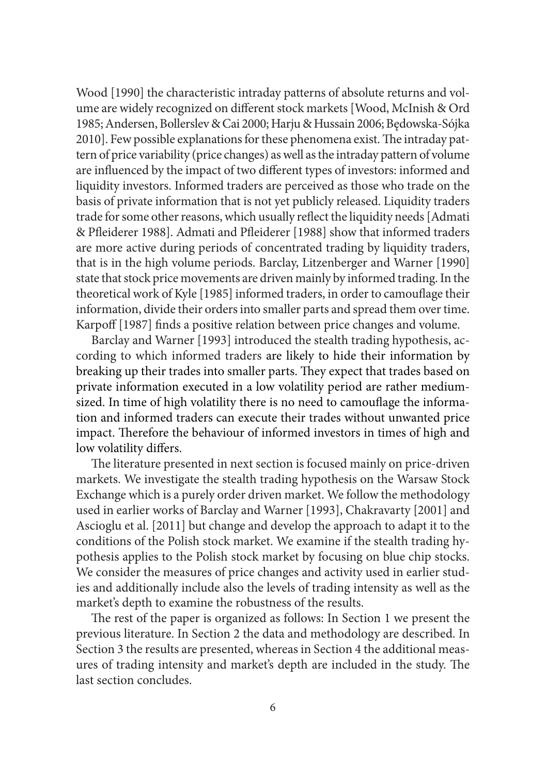Wood [1990] the characteristic intraday patterns of absolute returns and volume are widely recognized on different stock markets [Wood, McInish & Ord 1985; Andersen, Bollerslev & Cai 2000; Harju & Hussain 2006; Będowska-Sójka 2010]. Few possible explanations for these phenomena exist. The intraday pattern of price variability (price changes) as well as the intraday pattern of volume are influenced by the impact of two different types of investors: informed and liquidity investors. Informed traders are perceived as those who trade on the basis of private information that is not yet publicly released. Liquidity traders trade for some other reasons, which usually reflect the liquidity needs [Admati & Pfleiderer 1988]. Admati and Pfleiderer [1988] show that informed traders are more active during periods of concentrated trading by liquidity traders, that is in the high volume periods. Barclay, Litzenberger and Warner [1990] state that stock price movements are driven mainly by informed trading. In the theoretical work of Kyle [1985] informed traders, in order to camouflage their information, divide their orders into smaller parts and spread them over time. Karpoff [1987] finds a positive relation between price changes and volume.

Barclay and Warner [1993] introduced the stealth trading hypothesis, according to which informed traders are likely to hide their information by breaking up their trades into smaller parts. They expect that trades based on private information executed in a low volatility period are rather mediumsized. In time of high volatility there is no need to camouflage the information and informed traders can execute their trades without unwanted price impact. Therefore the behaviour of informed investors in times of high and low volatility differs.

The literature presented in next section is focused mainly on price-driven markets. We investigate the stealth trading hypothesis on the Warsaw Stock Exchange which is a purely order driven market. We follow the methodology used in earlier works of Barclay and Warner [1993], Chakravarty [2001] and Ascioglu et al. [2011] but change and develop the approach to adapt it to the conditions of the Polish stock market. We examine if the stealth trading hypothesis applies to the Polish stock market by focusing on blue chip stocks. We consider the measures of price changes and activity used in earlier studies and additionally include also the levels of trading intensity as well as the market's depth to examine the robustness of the results.

The rest of the paper is organized as follows: In Section 1 we present the previous literature. In Section 2 the data and methodology are described. In Section 3 the results are presented, whereas in Section 4 the additional measures of trading intensity and market's depth are included in the study. The last section concludes.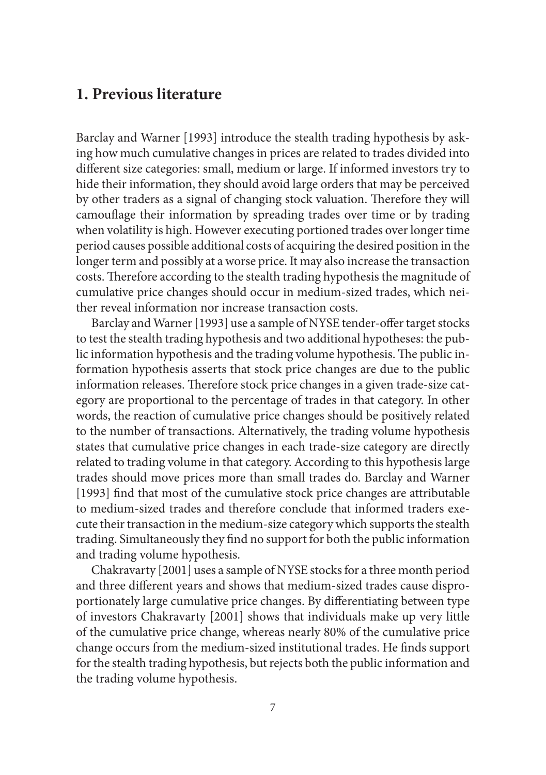## **1. Previous literature**

Barclay and Warner [1993] introduce the stealth trading hypothesis by asking how much cumulative changes in prices are related to trades divided into different size categories: small, medium or large. If informed investors try to hide their information, they should avoid large orders that may be perceived by other traders as a signal of changing stock valuation. Therefore they will camouflage their information by spreading trades over time or by trading when volatility is high. However executing portioned trades over longer time period causes possible additional costs of acquiring the desired position in the longer term and possibly at a worse price. It may also increase the transaction costs. Therefore according to the stealth trading hypothesis the magnitude of cumulative price changes should occur in medium-sized trades, which neither reveal information nor increase transaction costs.

Barclay and Warner [1993] use a sample of NYSE tender-offer target stocks to test the stealth trading hypothesis and two additional hypotheses: the public information hypothesis and the trading volume hypothesis. The public information hypothesis asserts that stock price changes are due to the public information releases. Therefore stock price changes in a given trade-size category are proportional to the percentage of trades in that category. In other words, the reaction of cumulative price changes should be positively related to the number of transactions. Alternatively, the trading volume hypothesis states that cumulative price changes in each trade-size category are directly related to trading volume in that category. According to this hypothesis large trades should move prices more than small trades do. Barclay and Warner [1993] find that most of the cumulative stock price changes are attributable to medium-sized trades and therefore conclude that informed traders execute their transaction in the medium-size category which supports the stealth trading. Simultaneously they find no support for both the public information and trading volume hypothesis.

Chakravarty [2001] uses a sample of NYSE stocks for a three month period and three different years and shows that medium-sized trades cause disproportionately large cumulative price changes. By differentiating between type of investors Chakravarty [2001] shows that individuals make up very little of the cumulative price change, whereas nearly 80% of the cumulative price change occurs from the medium-sized institutional trades. He finds support for the stealth trading hypothesis, but rejects both the public information and the trading volume hypothesis.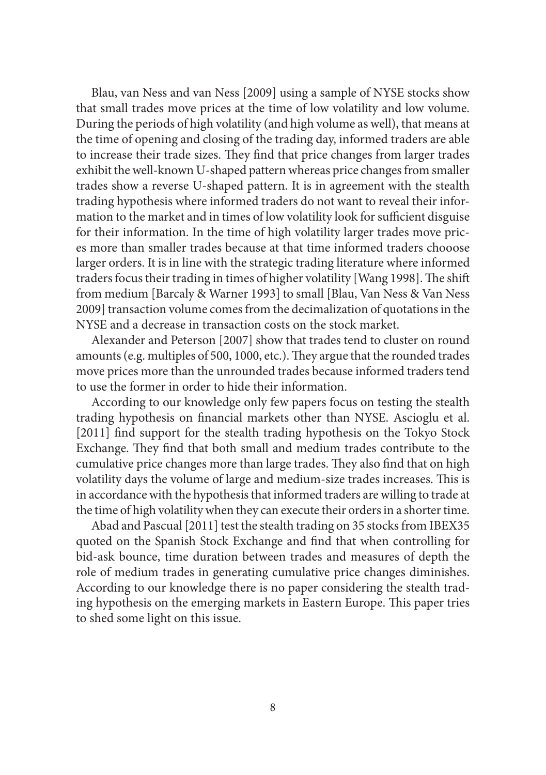Blau, van Ness and van Ness [2009] using a sample of NYSE stocks show that small trades move prices at the time of low volatility and low volume. During the periods of high volatility (and high volume as well), that means at the time of opening and closing of the trading day, informed traders are able to increase their trade sizes. They find that price changes from larger trades exhibit the well-known U-shaped pattern whereas price changes from smaller trades show a reverse U-shaped pattern. It is in agreement with the stealth trading hypothesis where informed traders do not want to reveal their information to the market and in times of low volatility look for sufficient disguise for their information. In the time of high volatility larger trades move prices more than smaller trades because at that time informed traders chooose larger orders. It is in line with the strategic trading literature where informed traders focus their trading in times of higher volatility [Wang 1998]. The shift from medium [Barcaly & Warner 1993] to small [Blau, Van Ness & Van Ness 2009] transaction volume comes from the decimalization of quotations in the NYSE and a decrease in transaction costs on the stock market.

Alexander and Peterson [2007] show that trades tend to cluster on round amounts (e.g. multiples of 500, 1000, etc.). They argue that the rounded trades move prices more than the unrounded trades because informed traders tend to use the former in order to hide their information.

According to our knowledge only few papers focus on testing the stealth trading hypothesis on financial markets other than NYSE. Ascioglu et al. [2011] find support for the stealth trading hypothesis on the Tokyo Stock Exchange. They find that both small and medium trades contribute to the cumulative price changes more than large trades. They also find that on high volatility days the volume of large and medium-size trades increases. This is in accordance with the hypothesis that informed traders are willing to trade at the time of high volatility when they can execute their orders in a shorter time.

Abad and Pascual [2011] test the stealth trading on 35 stocks from IBEX35 quoted on the Spanish Stock Exchange and find that when controlling for bid-ask bounce, time duration between trades and measures of depth the role of medium trades in generating cumulative price changes diminishes. According to our knowledge there is no paper considering the stealth trading hypothesis on the emerging markets in Eastern Europe. This paper tries to shed some light on this issue.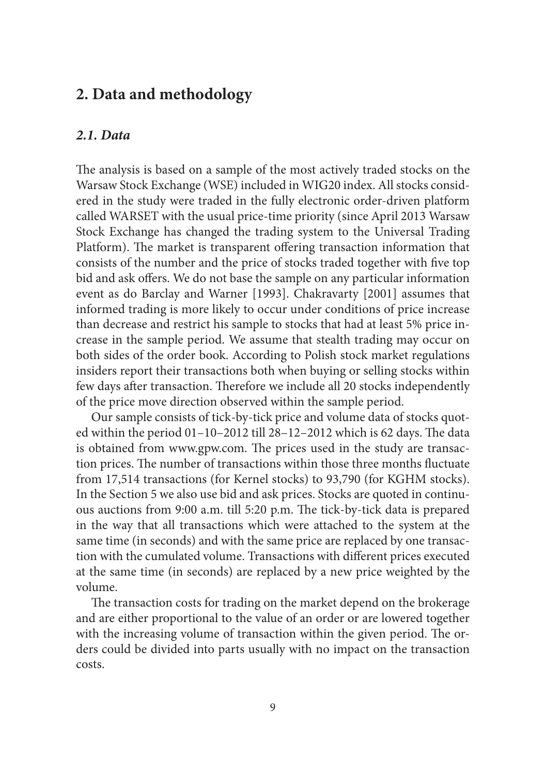## **2. Data and methodology**

#### *2.1. Data*

The analysis is based on a sample of the most actively traded stocks on the Warsaw Stock Exchange (WSE) included in WIG20 index. All stocks considered in the study were traded in the fully electronic order-driven platform called WARSET with the usual price-time priority (since April 2013 Warsaw Stock Exchange has changed the trading system to the Universal Trading Platform). The market is transparent offering transaction information that consists of the number and the price of stocks traded together with five top bid and ask offers. We do not base the sample on any particular information event as do Barclay and Warner [1993]. Chakravarty [2001] assumes that informed trading is more likely to occur under conditions of price increase than decrease and restrict his sample to stocks that had at least 5% price increase in the sample period. We assume that stealth trading may occur on both sides of the order book. According to Polish stock market regulations insiders report their transactions both when buying or selling stocks within few days after transaction. Therefore we include all 20 stocks independently of the price move direction observed within the sample period.

Our sample consists of tick-by-tick price and volume data of stocks quoted within the period  $01-10-2012$  till  $28-12-2012$  which is 62 days. The data is obtained from www.gpw.com. The prices used in the study are transaction prices. The number of transactions within those three months fluctuate from 17,514 transactions (for Kernel stocks) to 93,790 (for KGHM stocks). In the Section 5 we also use bid and ask prices. Stocks are quoted in continuous auctions from 9:00 a.m. till 5:20 p.m. The tick-by-tick data is prepared in the way that all transactions which were attached to the system at the same time (in seconds) and with the same price are replaced by one transaction with the cumulated volume. Transactions with different prices executed at the same time (in seconds) are replaced by a new price weighted by the volume.

The transaction costs for trading on the market depend on the brokerage and are either proportional to the value of an order or are lowered together with the increasing volume of transaction within the given period. The orders could be divided into parts usually with no impact on the transaction costs.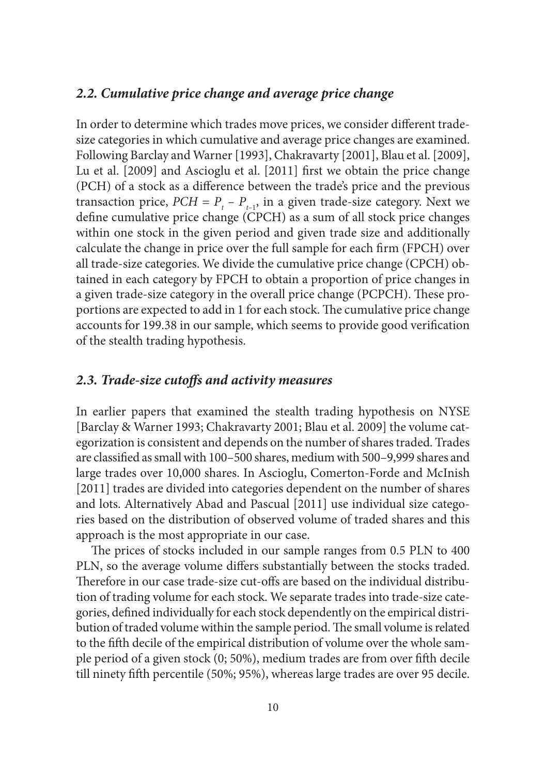#### *2.2. Cumulative price change and average price change*

In order to determine which trades move prices, we consider different tradesize categories in which cumulative and average price changes are examined. Following Barclay and Warner [1993], Chakravarty [2001], Blau et al. [2009], Lu et al. [2009] and Ascioglu et al. [2011] first we obtain the price change (PCH) of a stock as a difference between the trade's price and the previous transaction price,  $PCH = P_{t} - P_{t-1}$ , in a given trade-size category. Next we define cumulative price change (CPCH) as a sum of all stock price changes within one stock in the given period and given trade size and additionally calculate the change in price over the full sample for each firm (FPCH) over all trade-size categories. We divide the cumulative price change (CPCH) obtained in each category by FPCH to obtain a proportion of price changes in a given trade-size category in the overall price change (PCPCH). These proportions are expected to add in 1 for each stock. The cumulative price change accounts for 199.38 in our sample, which seems to provide good verification of the stealth trading hypothesis.

#### 2.3. Trade-size cutoffs and activity measures

In earlier papers that examined the stealth trading hypothesis on NYSE [Barclay & Warner 1993; Chakravarty 2001; Blau et al. 2009] the volume categorization is consistent and depends on the number of shares traded. Trades are classified as small with 100–500 shares, medium with 500–9,999 shares and large trades over 10,000 shares. In Ascioglu, Comerton-Forde and McInish [2011] trades are divided into categories dependent on the number of shares and lots. Alternatively Abad and Pascual [2011] use individual size categories based on the distribution of observed volume of traded shares and this approach is the most appropriate in our case.

The prices of stocks included in our sample ranges from 0.5 PLN to 400 PLN, so the average volume differs substantially between the stocks traded. Therefore in our case trade-size cut-offs are based on the individual distribution of trading volume for each stock. We separate trades into trade-size categories, defined individually for each stock dependently on the empirical distribution of traded volume within the sample period. The small volume is related to the fifth decile of the empirical distribution of volume over the whole sample period of a given stock (0; 50%), medium trades are from over fifth decile till ninety fifth percentile (50%; 95%), whereas large trades are over 95 decile.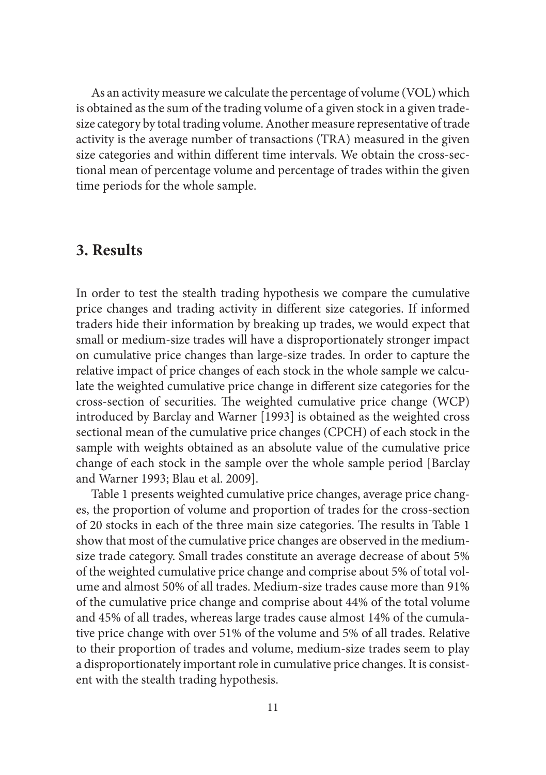As an activity measure we calculate the percentage of volume (VOL) which is obtained as the sum of the trading volume of a given stock in a given tradesize category by total trading volume. Another measure representative of trade activity is the average number of transactions (TRA) measured in the given size categories and within different time intervals. We obtain the cross-sectional mean of percentage volume and percentage of trades within the given time periods for the whole sample.

## **3. Results**

In order to test the stealth trading hypothesis we compare the cumulative price changes and trading activity in different size categories. If informed traders hide their information by breaking up trades, we would expect that small or medium-size trades will have a disproportionately stronger impact on cumulative price changes than large-size trades. In order to capture the relative impact of price changes of each stock in the whole sample we calculate the weighted cumulative price change in different size categories for the cross-section of securities. The weighted cumulative price change (WCP) introduced by Barclay and Warner [1993] is obtained as the weighted cross sectional mean of the cumulative price changes (CPCH) of each stock in the sample with weights obtained as an absolute value of the cumulative price change of each stock in the sample over the whole sample period [Barclay and Warner 1993; Blau et al. 2009].

Table 1 presents weighted cumulative price changes, average price changes, the proportion of volume and proportion of trades for the cross-section of 20 stocks in each of the three main size categories. The results in Table 1 show that most of the cumulative price changes are observed in the mediumsize trade category. Small trades constitute an average decrease of about 5% of the weighted cumulative price change and comprise about 5% of total volume and almost 50% of all trades. Medium-size trades cause more than 91% of the cumulative price change and comprise about 44% of the total volume and 45% of all trades, whereas large trades cause almost 14% of the cumulative price change with over 51% of the volume and 5% of all trades. Relative to their proportion of trades and volume, medium-size trades seem to play a disproportionately important role in cumulative price changes. It is consistent with the stealth trading hypothesis.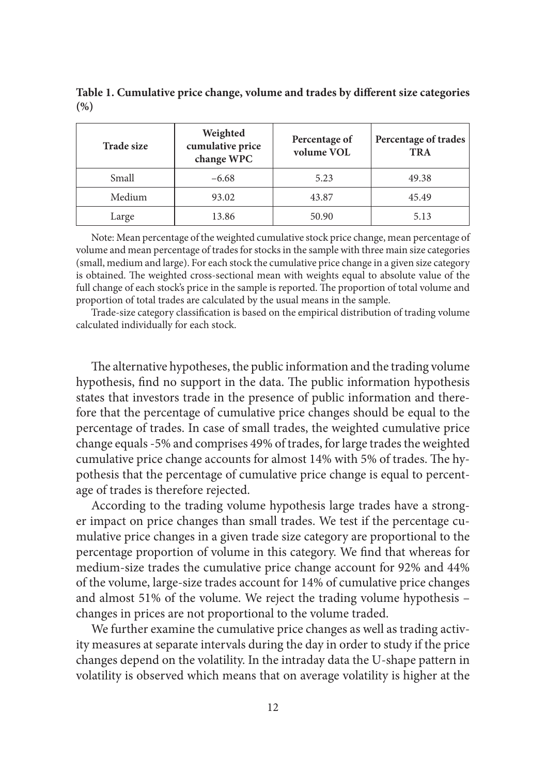Table 1. Cumulative price change, volume and trades by different size categories **(%)**

| <b>Trade size</b> | Weighted<br>cumulative price<br>change WPC | Percentage of<br>volume VOL | Percentage of trades<br><b>TRA</b> |  |  |
|-------------------|--------------------------------------------|-----------------------------|------------------------------------|--|--|
| Small             | $-6.68$                                    | 5.23                        |                                    |  |  |
| Medium            | 93.02                                      | 43.87                       | 45.49                              |  |  |
| Large             | 13.86                                      | 50.90                       | 5.13                               |  |  |

Note: Mean percentage of the weighted cumulative stock price change, mean percentage of volume and mean percentage of trades for stocks in the sample with three main size categories (small, medium and large). For each stock the cumulative price change in a given size category is obtained. The weighted cross-sectional mean with weights equal to absolute value of the full change of each stock's price in the sample is reported. The proportion of total volume and proportion of total trades are calculated by the usual means in the sample.

Trade-size category classification is based on the empirical distribution of trading volume calculated individually for each stock.

The alternative hypotheses, the public information and the trading volume hypothesis, find no support in the data. The public information hypothesis states that investors trade in the presence of public information and therefore that the percentage of cumulative price changes should be equal to the percentage of trades. In case of small trades, the weighted cumulative price change equals -5% and comprises 49% of trades, for large trades the weighted cumulative price change accounts for almost 14% with 5% of trades. The hypothesis that the percentage of cumulative price change is equal to percentage of trades is therefore rejected.

According to the trading volume hypothesis large trades have a stronger impact on price changes than small trades. We test if the percentage cumulative price changes in a given trade size category are proportional to the percentage proportion of volume in this category. We find that whereas for medium-size trades the cumulative price change account for 92% and 44% of the volume, large-size trades account for 14% of cumulative price changes and almost 51% of the volume. We reject the trading volume hypothesis – changes in prices are not proportional to the volume traded.

We further examine the cumulative price changes as well as trading activity measures at separate intervals during the day in order to study if the price changes depend on the volatility. In the intraday data the U-shape pattern in volatility is observed which means that on average volatility is higher at the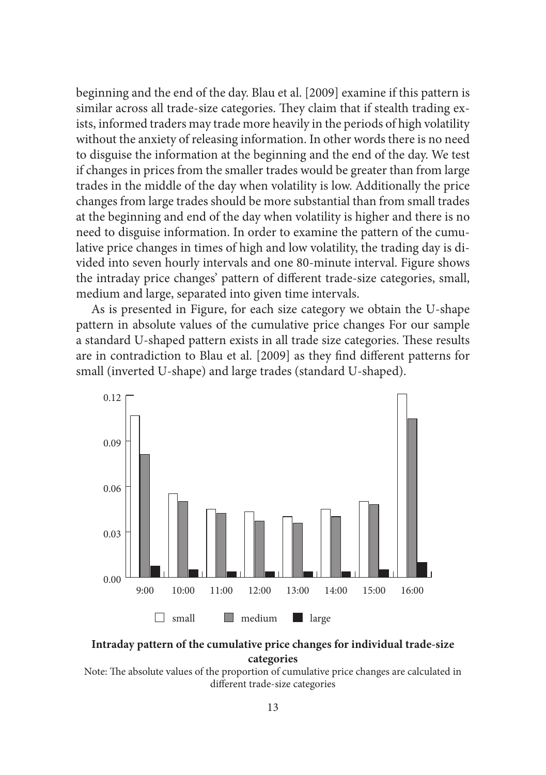beginning and the end of the day. Blau et al. [2009] examine if this pattern is similar across all trade-size categories. They claim that if stealth trading exists, informed traders may trade more heavily in the periods of high volatility without the anxiety of releasing information. In other words there is no need to disguise the information at the beginning and the end of the day. We test if changes in prices from the smaller trades would be greater than from large trades in the middle of the day when volatility is low. Additionally the price changes from large trades should be more substantial than from small trades at the beginning and end of the day when volatility is higher and there is no need to disguise information. In order to examine the pattern of the cumulative price changes in times of high and low volatility, the trading day is divided into seven hourly intervals and one 80-minute interval. Figure shows the intraday price changes' pattern of different trade-size categories, small, medium and large, separated into given time intervals.

As is presented in Figure, for each size category we obtain the U-shape pattern in absolute values of the cumulative price changes For our sample a standard U-shaped pattern exists in all trade size categories. These results are in contradiction to Blau et al. [2009] as they find different patterns for small (inverted U-shape) and large trades (standard U-shaped).



**Intraday pattern of the cumulative price changes for individual trade-size categories**

Note: The absolute values of the proportion of cumulative price changes are calculated in different trade-size categories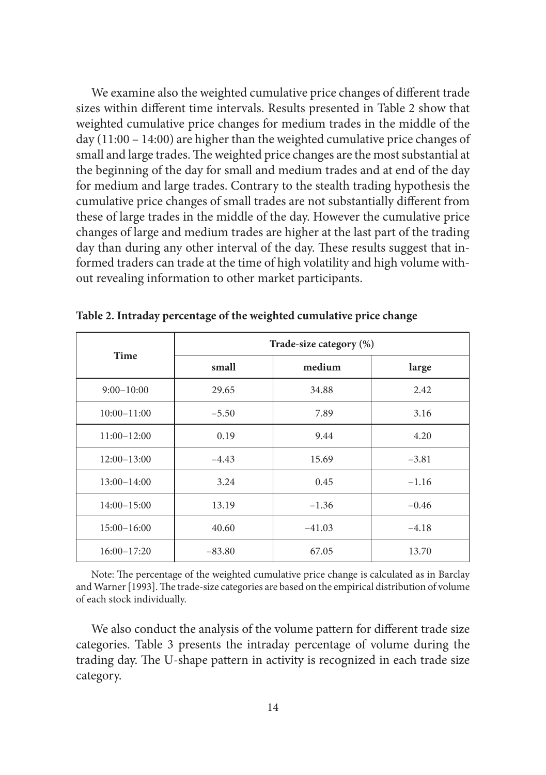We examine also the weighted cumulative price changes of different trade sizes within different time intervals. Results presented in Table 2 show that weighted cumulative price changes for medium trades in the middle of the day (11:00 – 14:00) are higher than the weighted cumulative price changes of small and large trades. The weighted price changes are the most substantial at the beginning of the day for small and medium trades and at end of the day for medium and large trades. Contrary to the stealth trading hypothesis the cumulative price changes of small trades are not substantially different from these of large trades in the middle of the day. However the cumulative price changes of large and medium trades are higher at the last part of the trading day than during any other interval of the day. These results suggest that informed traders can trade at the time of high volatility and high volume without revealing information to other market participants.

| Time            | Trade-size category (%) |          |         |  |  |  |  |
|-----------------|-------------------------|----------|---------|--|--|--|--|
|                 | small                   | medium   | large   |  |  |  |  |
| $9:00-10:00$    | 29.65                   | 34.88    | 2.42    |  |  |  |  |
| $10:00 - 11:00$ | $-5.50$                 | 7.89     | 3.16    |  |  |  |  |
| $11:00 - 12:00$ | 0.19                    | 9.44     | 4.20    |  |  |  |  |
| $12:00 - 13:00$ | $-4.43$                 | 15.69    | $-3.81$ |  |  |  |  |
| $13:00 - 14:00$ | 3.24                    | 0.45     | $-1.16$ |  |  |  |  |
| $14:00 - 15:00$ | 13.19                   | $-1.36$  | $-0.46$ |  |  |  |  |
| $15:00 - 16:00$ | 40.60                   | $-41.03$ | $-4.18$ |  |  |  |  |
| $16:00 - 17:20$ | $-83.80$                | 67.05    | 13.70   |  |  |  |  |

**Table 2. Intraday percentage of the weighted cumulative price change**

Note: The percentage of the weighted cumulative price change is calculated as in Barclay and Warner [1993]. The trade-size categories are based on the empirical distribution of volume of each stock individually.

We also conduct the analysis of the volume pattern for different trade size categories. Table 3 presents the intraday percentage of volume during the trading day. The U-shape pattern in activity is recognized in each trade size category.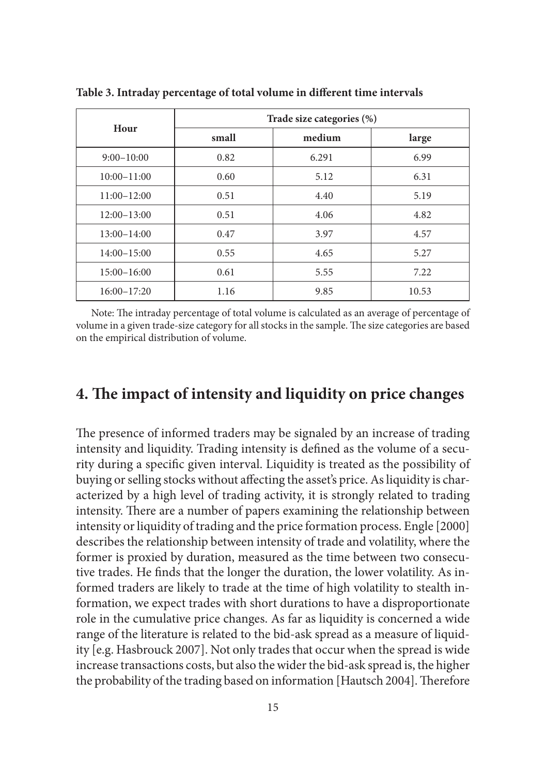| Hour            | Trade size categories (%) |        |       |  |  |  |  |
|-----------------|---------------------------|--------|-------|--|--|--|--|
|                 | small                     | medium | large |  |  |  |  |
| $9:00-10:00$    | 0.82                      | 6.291  | 6.99  |  |  |  |  |
| $10:00 - 11:00$ | 0.60                      | 5.12   | 6.31  |  |  |  |  |
| $11:00-12:00$   | 0.51                      | 4.40   | 5.19  |  |  |  |  |
| $12:00-13:00$   | 0.51                      | 4.06   | 4.82  |  |  |  |  |
| $13:00 - 14:00$ | 0.47                      | 3.97   | 4.57  |  |  |  |  |
| $14:00 - 15:00$ | 0.55                      | 4.65   | 5.27  |  |  |  |  |
| $15:00 - 16:00$ | 0.61                      | 5.55   | 7.22  |  |  |  |  |
| $16:00 - 17:20$ | 1.16                      | 9.85   | 10.53 |  |  |  |  |

Table 3. Intraday percentage of total volume in different time intervals

Note: The intraday percentage of total volume is calculated as an average of percentage of volume in a given trade-size category for all stocks in the sample. The size categories are based on the empirical distribution of volume.

### **4. The impact of intensity and liquidity on price changes**

The presence of informed traders may be signaled by an increase of trading intensity and liquidity. Trading intensity is defined as the volume of a security during a specific given interval. Liquidity is treated as the possibility of buying or selling stocks without affecting the asset's price. As liquidity is characterized by a high level of trading activity, it is strongly related to trading intensity. There are a number of papers examining the relationship between intensity or liquidity of trading and the price formation process. Engle [2000] describes the relationship between intensity of trade and volatility, where the former is proxied by duration, measured as the time between two consecutive trades. He finds that the longer the duration, the lower volatility. As informed traders are likely to trade at the time of high volatility to stealth information, we expect trades with short durations to have a disproportionate role in the cumulative price changes. As far as liquidity is concerned a wide range of the literature is related to the bid-ask spread as a measure of liquidity [e.g. Hasbrouck 2007]. Not only trades that occur when the spread is wide increase transactions costs, but also the wider the bid-ask spread is, the higher the probability of the trading based on information [Hautsch 2004]. Therefore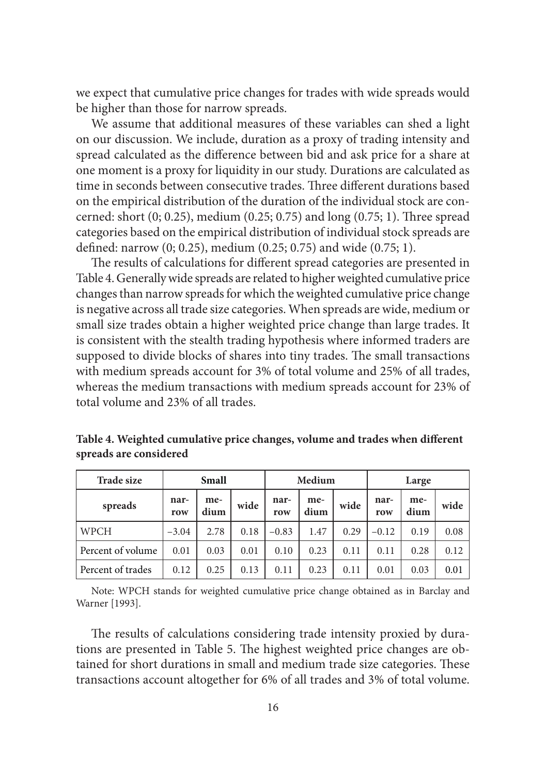we expect that cumulative price changes for trades with wide spreads would be higher than those for narrow spreads.

We assume that additional measures of these variables can shed a light on our discussion. We include, duration as a proxy of trading intensity and spread calculated as the difference between bid and ask price for a share at one moment is a proxy for liquidity in our study. Durations are calculated as time in seconds between consecutive trades. Three different durations based on the empirical distribution of the duration of the individual stock are concerned: short  $(0; 0.25)$ , medium  $(0.25; 0.75)$  and long  $(0.75; 1)$ . Three spread categories based on the empirical distribution of individual stock spreads are defined: narrow  $(0; 0.25)$ , medium  $(0.25; 0.75)$  and wide  $(0.75; 1)$ .

The results of calculations for different spread categories are presented in Table 4. Generally wide spreads are related to higher weighted cumulative price changes than narrow spreads for which the weighted cumulative price change is negative across all trade size categories. When spreads are wide, medium or small size trades obtain a higher weighted price change than large trades. It is consistent with the stealth trading hypothesis where informed traders are supposed to divide blocks of shares into tiny trades. The small transactions with medium spreads account for 3% of total volume and 25% of all trades, whereas the medium transactions with medium spreads account for 23% of total volume and 23% of all trades.

| <b>Trade size</b> | Small       |             |      | Medium      |             |      | Large       |             |      |
|-------------------|-------------|-------------|------|-------------|-------------|------|-------------|-------------|------|
| spreads           | nar-<br>row | me-<br>dium | wide | nar-<br>row | me-<br>dium | wide | nar-<br>row | me-<br>dium | wide |
| <b>WPCH</b>       | $-3.04$     | 2.78        | 0.18 | $-0.83$     | 1.47        | 0.29 | $-0.12$     | 0.19        | 0.08 |
| Percent of volume | 0.01        | 0.03        | 0.01 | 0.10        | 0.23        | 0.11 | 0.11        | 0.28        | 0.12 |
| Percent of trades | 0.12        | 0.25        | 0.13 | 0.11        | 0.23        | 0.11 | 0.01        | 0.03        | 0.01 |

Table 4. Weighted cumulative price changes, volume and trades when different **spreads are considered**

Note: WPCH stands for weighted cumulative price change obtained as in Barclay and Warner [1993].

The results of calculations considering trade intensity proxied by durations are presented in Table 5. The highest weighted price changes are obtained for short durations in small and medium trade size categories. These transactions account altogether for 6% of all trades and 3% of total volume.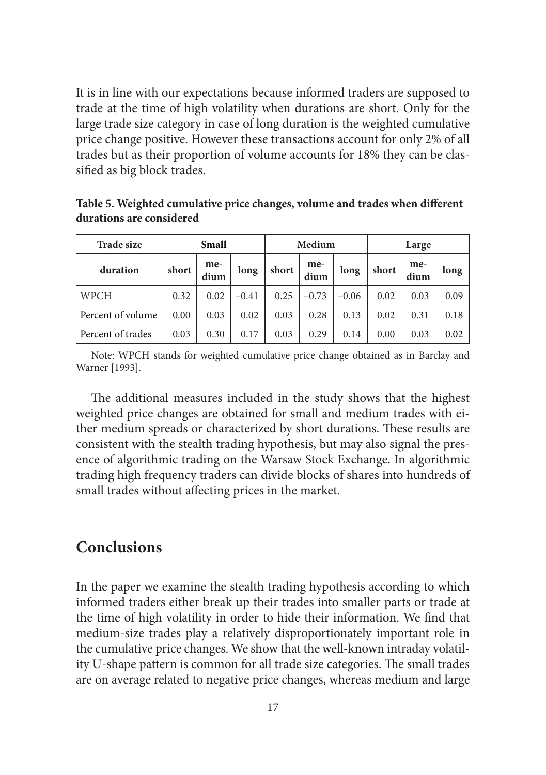It is in line with our expectations because informed traders are supposed to trade at the time of high volatility when durations are short. Only for the large trade size category in case of long duration is the weighted cumulative price change positive. However these transactions account for only 2% of all trades but as their proportion of volume accounts for 18% they can be classified as big block trades.

Table 5. Weighted cumulative price changes, volume and trades when different **durations are considered**

| <b>Trade size</b> | Small |             |         | Medium |             |         | Large |             |      |
|-------------------|-------|-------------|---------|--------|-------------|---------|-------|-------------|------|
| duration          | short | me-<br>dium | long    | short  | me-<br>dium | long    | short | me-<br>dium | long |
| WPCH              | 0.32  | 0.02        | $-0.41$ | 0.25   | $-0.73$     | $-0.06$ | 0.02  | 0.03        | 0.09 |
| Percent of volume | 0.00  | 0.03        | 0.02    | 0.03   | 0.28        | 0.13    | 0.02  | 0.31        | 0.18 |
| Percent of trades | 0.03  | 0.30        | 0.17    | 0.03   | 0.29        | 0.14    | 0.00  | 0.03        | 0.02 |

Note: WPCH stands for weighted cumulative price change obtained as in Barclay and Warner [1993].

The additional measures included in the study shows that the highest weighted price changes are obtained for small and medium trades with either medium spreads or characterized by short durations. These results are consistent with the stealth trading hypothesis, but may also signal the presence of algorithmic trading on the Warsaw Stock Exchange. In algorithmic trading high frequency traders can divide blocks of shares into hundreds of small trades without affecting prices in the market.

## **Conclusions**

In the paper we examine the stealth trading hypothesis according to which informed traders either break up their trades into smaller parts or trade at the time of high volatility in order to hide their information. We find that medium-size trades play a relatively disproportionately important role in the cumulative price changes. We show that the well-known intraday volatility U-shape pattern is common for all trade size categories. The small trades are on average related to negative price changes, whereas medium and large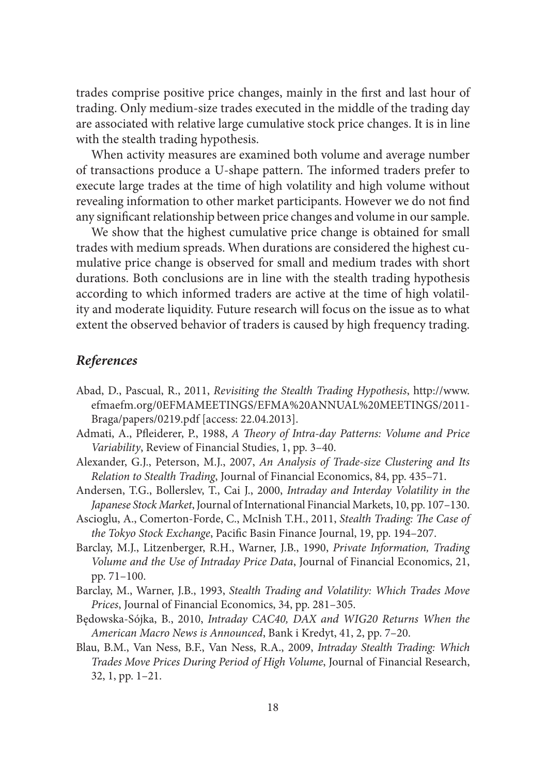trades comprise positive price changes, mainly in the first and last hour of trading. Only medium-size trades executed in the middle of the trading day are associated with relative large cumulative stock price changes. It is in line with the stealth trading hypothesis.

When activity measures are examined both volume and average number of transactions produce a U-shape pattern. The informed traders prefer to execute large trades at the time of high volatility and high volume without revealing information to other market participants. However we do not find any significant relationship between price changes and volume in our sample.

We show that the highest cumulative price change is obtained for small trades with medium spreads. When durations are considered the highest cumulative price change is observed for small and medium trades with short durations. Both conclusions are in line with the stealth trading hypothesis according to which informed traders are active at the time of high volatility and moderate liquidity. Future research will focus on the issue as to what extent the observed behavior of traders is caused by high frequency trading.

#### *References*

- Abad, D., Pascual, R., 2011, *Revisiting the Stealth Trading Hypothesis*, http://www. efmaefm.org/0EFMAMEETINGS/EFMA%20ANNUAL%20MEETINGS/2011- Braga/papers/0219.pdf [access: 22.04.2013].
- Admati, A., Pfleiderer, P., 1988, *A Theory of Intra-day Patterns: Volume and Price Variability*, Review of Financial Studies, 1, pp. 3–40.
- Alexander, G.J., Peterson, M.J., 2007, *An Analysis of Trade-size Clustering and Its Relation to Stealth Trading*, Journal of Financial Economics, 84, pp. 435–71.
- Andersen, T.G., Bollerslev, T., Cai J., 2000, *Intraday and Interday Volatility in the Japanese Stock Market*, Journal of International Financial Markets, 10, pp. 107–130.
- Ascioglu, A., Comerton-Forde, C., McInish T.H., 2011, *Stealth Trading: The Case of the Tokyo Stock Exchange*, Pacific Basin Finance Journal, 19, pp. 194-207.
- Barclay, M.J., Litzenberger, R.H., Warner, J.B., 1990, *Private Information, Trading Volume and the Use of Intraday Price Data*, Journal of Financial Economics, 21, pp. 71–100.
- Barclay, M., Warner, J.B., 1993, *Stealth Trading and Volatility: Which Trades Move Prices*, Journal of Financial Economics, 34, pp. 281–305.
- Będowska-Sójka, B., 2010, *Intraday CAC40, DAX and WIG20 Returns When the American Macro News is Announced*, Bank i Kredyt, 41, 2, pp. 7–20.
- Blau, B.M., Van Ness, B.F., Van Ness, R.A., 2009, *Intraday Stealth Trading: Which Trades Move Prices During Period of High Volume*, Journal of Financial Research, 32, 1, pp. 1–21.